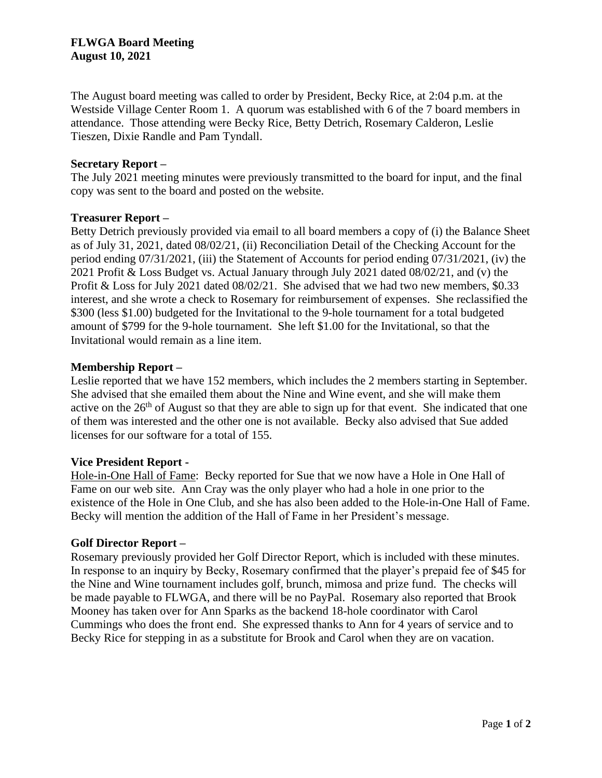The August board meeting was called to order by President, Becky Rice, at 2:04 p.m. at the Westside Village Center Room 1. A quorum was established with 6 of the 7 board members in attendance. Those attending were Becky Rice, Betty Detrich, Rosemary Calderon, Leslie Tieszen, Dixie Randle and Pam Tyndall.

### **Secretary Report –**

The July 2021 meeting minutes were previously transmitted to the board for input, and the final copy was sent to the board and posted on the website.

### **Treasurer Report –**

Betty Detrich previously provided via email to all board members a copy of (i) the Balance Sheet as of July 31, 2021, dated 08/02/21, (ii) Reconciliation Detail of the Checking Account for the period ending 07/31/2021, (iii) the Statement of Accounts for period ending 07/31/2021, (iv) the 2021 Profit & Loss Budget vs. Actual January through July 2021 dated 08/02/21, and (v) the Profit & Loss for July 2021 dated 08/02/21. She advised that we had two new members, \$0.33 interest, and she wrote a check to Rosemary for reimbursement of expenses. She reclassified the \$300 (less \$1.00) budgeted for the Invitational to the 9-hole tournament for a total budgeted amount of \$799 for the 9-hole tournament. She left \$1.00 for the Invitational, so that the Invitational would remain as a line item.

## **Membership Report –**

Leslie reported that we have 152 members, which includes the 2 members starting in September. She advised that she emailed them about the Nine and Wine event, and she will make them active on the  $26<sup>th</sup>$  of August so that they are able to sign up for that event. She indicated that one of them was interested and the other one is not available. Becky also advised that Sue added licenses for our software for a total of 155.

## **Vice President Report -**

Hole-in-One Hall of Fame: Becky reported for Sue that we now have a Hole in One Hall of Fame on our web site. Ann Cray was the only player who had a hole in one prior to the existence of the Hole in One Club, and she has also been added to the Hole-in-One Hall of Fame. Becky will mention the addition of the Hall of Fame in her President's message.

#### **Golf Director Report –**

Rosemary previously provided her Golf Director Report, which is included with these minutes. In response to an inquiry by Becky, Rosemary confirmed that the player's prepaid fee of \$45 for the Nine and Wine tournament includes golf, brunch, mimosa and prize fund. The checks will be made payable to FLWGA, and there will be no PayPal. Rosemary also reported that Brook Mooney has taken over for Ann Sparks as the backend 18-hole coordinator with Carol Cummings who does the front end. She expressed thanks to Ann for 4 years of service and to Becky Rice for stepping in as a substitute for Brook and Carol when they are on vacation.